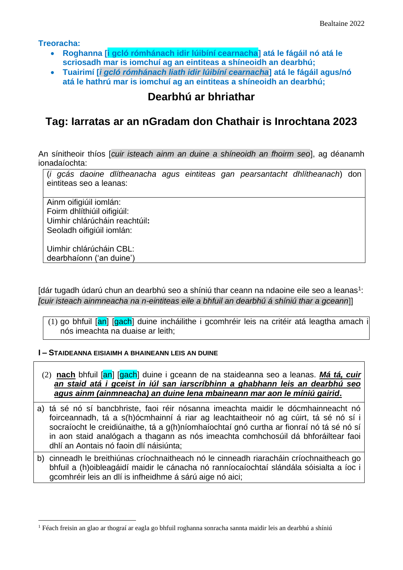**Treoracha:**

- **Roghanna [i gcló rómhánach idir lúibíní cearnacha] atá le fágáil nó atá le scriosadh mar is iomchuí ag an eintiteas a shíneoidh an dearbhú;**
- **Tuairimí [***i gcló rómhánach liath idir lúibíní cearnacha***] atá le fágáil agus/nó atá le hathrú mar is iomchuí ag an eintiteas a shíneoidh an dearbhú;**

# **Dearbhú ar bhriathar**

# **Tag: Iarratas ar an nGradam don Chathair is Inrochtana 2023**

An sínitheoir thíos [*cuir isteach ainm an duine a shíneoidh an fhoirm seo*], ag déanamh ionadaíochta:

(*i gcás daoine dlítheanacha agus eintiteas gan pearsantacht dhlítheanach*) don eintiteas seo a leanas:

Ainm oifigiúil iomlán: Foirm dhlíthiúil oifigiúil: Uimhir chlárúcháin reachtúil**:**  Seoladh oifigiúil iomlán:

Uimhir chlárúcháin CBL: dearbhaíonn ('an duine')

[dár tugadh údarú chun an dearbhú seo a shíniú thar ceann na ndaoine eile seo a leanas<sup>1</sup>: *[cuir isteach ainmneacha na n-eintiteas eile a bhfuil an dearbhú á shíniú thar a gceann*]]

(1) go bhfuil [an] [gach] duine incháilithe i gcomhréir leis na critéir atá leagtha amach i nós imeachta na duaise ar leith;

#### **I – STAIDEANNA EISIAIMH A BHAINEANN LEIS AN DUINE**

- (2) **nach** bhfuil [an] [gach] duine i gceann de na staideanna seo a leanas. *Má tá, cuir an staid atá i gceist in iúl san iarscríbhinn a ghabhann leis an dearbhú seo agus ainm (ainmneacha) an duine lena mbaineann mar aon le míniú gairid***.**
- a) tá sé nó sí bancbhriste, faoi réir nósanna imeachta maidir le dócmhainneacht nó foirceannadh, tá a s(h)ócmhainní á riar ag leachtaitheoir nó ag cúirt, tá sé nó sí i socraíocht le creidiúnaithe, tá a g(h)níomhaíochtaí gnó curtha ar fionraí nó tá sé nó sí in aon staid analógach a thagann as nós imeachta comhchosúil dá bhforáiltear faoi dhlí an Aontais nó faoin dlí náisiúnta;
- b) cinneadh le breithiúnas críochnaitheach nó le cinneadh riaracháin críochnaitheach go bhfuil a (h)oibleagáidí maidir le cánacha nó ranníocaíochtaí slándála sóisialta a íoc i gcomhréir leis an dlí is infheidhme á sárú aige nó aici;

<sup>1</sup> Féach freisin an glao ar thograí ar eagla go bhfuil roghanna sonracha sannta maidir leis an dearbhú a shíniú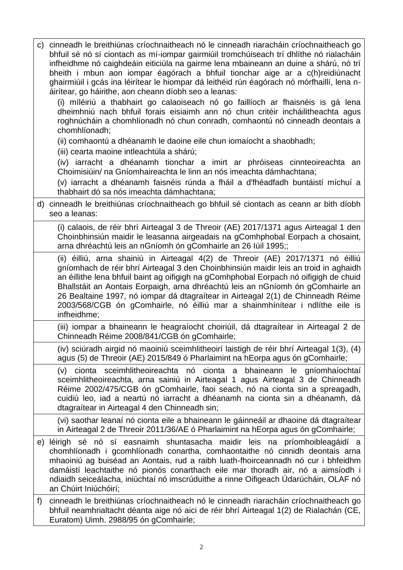| C) | cinneadh le breithiúnas críochnaitheach nó le cinneadh riaracháin críochnaitheach go<br>bhfuil sé nó sí ciontach as mí-iompar gairmiúil tromchúiseach trí dhlíthe nó rialacháin<br>infheidhme nó caighdeáin eiticiúla na gairme lena mbaineann an duine a shárú, nó trí<br>bheith i mbun aon iompar éagórach a bhfuil tionchar aige ar a c(h)reidiúnacht<br>ghairmiúil i gcás ina léirítear le hiompar dá leithéid rún éagórach nó mórfhaillí, lena n-<br>áirítear, go háirithe, aon cheann díobh seo a leanas:<br>(i) míléiriú a thabhairt go calaoiseach nó go faillíoch ar fhaisnéis is gá lena<br>dheimhniú nach bhfuil forais eisiaimh ann nó chun critéir incháilitheachta agus<br>roghnúcháin a chomhlíonadh nó chun conradh, comhaontú nó cinneadh deontais a<br>chomhlíonadh; |
|----|----------------------------------------------------------------------------------------------------------------------------------------------------------------------------------------------------------------------------------------------------------------------------------------------------------------------------------------------------------------------------------------------------------------------------------------------------------------------------------------------------------------------------------------------------------------------------------------------------------------------------------------------------------------------------------------------------------------------------------------------------------------------------------------|
|    | (ii) comhaontú a dhéanamh le daoine eile chun iomaíocht a shaobhadh;                                                                                                                                                                                                                                                                                                                                                                                                                                                                                                                                                                                                                                                                                                                   |
|    | (iii) cearta maoine intleachtúla a shárú;<br>(iv) iarracht a dhéanamh tionchar a imirt ar phróiseas cinnteoireachta an<br>Choimisiúin/ na Gníomhaireachta le linn an nós imeachta dámhachtana;<br>(v) iarracht a dhéanamh faisnéis rúnda a fháil a d'fhéadfadh buntáistí míchuí a<br>thabhairt dó sa nós imeachta dámhachtana;                                                                                                                                                                                                                                                                                                                                                                                                                                                         |
| d) | cinneadh le breithiúnas críochnaitheach go bhfuil sé ciontach as ceann ar bith díobh<br>seo a leanas:                                                                                                                                                                                                                                                                                                                                                                                                                                                                                                                                                                                                                                                                                  |
|    | (i) calaois, de réir bhrí Airteagal 3 de Threoir (AE) 2017/1371 agus Airteagal 1 den<br>Choinbhinsiún maidir le leasanna airgeadais na gComhphobal Eorpach a chosaint,<br>arna dhréachtú leis an nGníomh ón gComhairle an 26 Iúil 1995;;                                                                                                                                                                                                                                                                                                                                                                                                                                                                                                                                               |
|    | (ii) éilliú, arna shainiú in Airteagal 4(2) de Threoir (AE) 2017/1371 nó éilliú<br>gníomhach de réir bhrí Airteagal 3 den Choinbhinsiún maidir leis an troid in aghaidh<br>an éillithe lena bhfuil baint ag oifigigh na gComhphobal Eorpach nó oifigigh de chuid<br>Bhallstáit an Aontais Eorpaigh, arna dhréachtú leis an nGníomh ón gComhairle an<br>26 Bealtaine 1997, nó iompar dá dtagraítear in Airteagal 2(1) de Chinneadh Réime<br>2003/568/CGB ón gComhairle, nó éilliú mar a shainmhínítear i ndlíthe eile is<br>infheidhme;                                                                                                                                                                                                                                                 |
|    | (iii) iompar a bhaineann le heagraíocht choiriúil, dá dtagraítear in Airteagal 2 de<br>Chinneadh Réime 2008/841/CGB ón gComhairle;                                                                                                                                                                                                                                                                                                                                                                                                                                                                                                                                                                                                                                                     |
|    | (iv) sciúradh airgid nó maoiniú sceimhlitheoirí laistigh de réir bhrí Airteagal 1(3), (4)<br>agus (5) de Threoir (AE) 2015/849 ó Pharlaimint na hEorpa agus ón gComhairle;                                                                                                                                                                                                                                                                                                                                                                                                                                                                                                                                                                                                             |
|    | sceimhlitheoireachta nó cionta a bhaineann le gníomhaíochtaí<br>cionta<br>(V)<br>sceimhlitheoireachta, arna sainiú in Airteagal 1 agus Airteagal 3 de Chinneadh<br>Réime 2002/475/CGB ón gComhairle, faoi seach, nó na cionta sin a spreagadh,<br>cuidiú leo, iad a neartú nó iarracht a dhéanamh na cionta sin a dhéanamh, dá<br>dtagraítear in Airteagal 4 den Chinneadh sin;                                                                                                                                                                                                                                                                                                                                                                                                        |
|    | (vi) saothar leanaí nó cionta eile a bhaineann le gáinneáil ar dhaoine dá dtagraítear<br>in Airteagal 2 de Threoir 2011/36/AE ó Pharlaimint na hEorpa agus ón gComhairle;                                                                                                                                                                                                                                                                                                                                                                                                                                                                                                                                                                                                              |
| e) | léirigh sé nó sí easnaimh shuntasacha maidir leis na príomhoibleagáidí a<br>chomhlíonadh i gcomhlíonadh conartha, comhaontaithe nó cinnidh deontais arna<br>mhaoiniú ag buiséad an Aontais, rud a raibh luath-fhoirceannadh nó cur i bhfeidhm<br>damáistí leachtaithe nó pionós conarthach eile mar thoradh air, nó a aimsíodh i<br>ndiaidh seiceálacha, iniúchtaí nó imscrúduithe a rinne Oifigeach Údarúcháin, OLAF nó<br>an Chúirt Iniúchóirí;                                                                                                                                                                                                                                                                                                                                      |
| f) | cinneadh le breithiúnas críochnaitheach nó le cinneadh riaracháin críochnaitheach go<br>bhfuil neamhrialtacht déanta aige nó aici de réir bhrí Airteagal 1(2) de Rialachán (CE,<br>Euratom) Uimh. 2988/95 ón gComhairle;                                                                                                                                                                                                                                                                                                                                                                                                                                                                                                                                                               |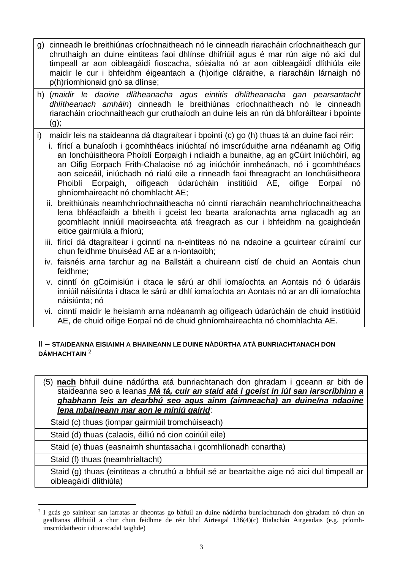- g) cinneadh le breithiúnas críochnaitheach nó le cinneadh riaracháin críochnaitheach gur chruthaigh an duine eintiteas faoi dhlínse dhifriúil agus é mar rún aige nó aici dul timpeall ar aon oibleagáidí fioscacha, sóisialta nó ar aon oibleagáidí dlíthiúla eile maidir le cur i bhfeidhm éigeantach a (h)oifige cláraithe, a riaracháin lárnaigh nó p(h)ríomhionaid gnó sa dlínse;
- h) (*maidir le daoine dlítheanacha agus eintitis dhlítheanacha gan pearsantacht dhlítheanach amháin*) cinneadh le breithiúnas críochnaitheach nó le cinneadh riaracháin críochnaitheach gur cruthaíodh an duine leis an rún dá bhforáiltear i bpointe  $(a)$ ;
- i) maidir leis na staideanna dá dtagraítear i bpointí (c) go (h) thuas tá an duine faoi réir:
	- i. fíricí a bunaíodh i gcomhthéacs iniúchtaí nó imscrúduithe arna ndéanamh ag Oifig an Ionchúisitheora Phoiblí Eorpaigh i ndiaidh a bunaithe, ag an gCúirt Iniúchóirí, ag an Oifig Eorpach Frith-Chalaoise nó ag iniúchóir inmheánach, nó i gcomhthéacs aon seiceáil, iniúchadh nó rialú eile a rinneadh faoi fhreagracht an Ionchúisitheora Phoiblí Eorpaigh, oifigeach údarúcháin institiúid AE, oifige Eorpaí nó ghníomhaireacht nó chomhlacht AE;
	- ii. breithiúnais neamhchríochnaitheacha nó cinntí riaracháin neamhchríochnaitheacha lena bhféadfaidh a bheith i gceist leo bearta araíonachta arna nglacadh ag an gcomhlacht inniúil maoirseachta atá freagrach as cur i bhfeidhm na gcaighdeán eitice gairmiúla a fhíorú;
	- iii. fíricí dá dtagraítear i gcinntí na n-eintiteas nó na ndaoine a gcuirtear cúraimí cur chun feidhme bhuiséad AE ar a n-iontaoibh;
	- iv. faisnéis arna tarchur ag na Ballstáit a chuireann cistí de chuid an Aontais chun feidhme;
	- v. cinntí ón gCoimisiún i dtaca le sárú ar dhlí iomaíochta an Aontais nó ó údaráis inniúil náisiúnta i dtaca le sárú ar dhlí iomaíochta an Aontais nó ar an dlí iomaíochta náisiúnta; nó
	- vi. cinntí maidir le heisiamh arna ndéanamh ag oifigeach údarúcháin de chuid institiúid AE, de chuid oifige Eorpaí nó de chuid ghníomhaireachta nó chomhlachta AE.

#### II – **STAIDEANNA EISIAIMH A BHAINEANN LE DUINE NÁDÚRTHA ATÁ BUNRIACHTANACH DON DÁMHACHTAIN** <sup>2</sup>

(5) **nach** bhfuil duine nádúrtha atá bunriachtanach don ghradam i gceann ar bith de staideanna seo a leanas *Má tá, cuir an staid atá i gceist in iúl san iarscríbhinn a ghabhann leis an dearbhú seo agus ainm (aimneacha) an duine/na ndaoine lena mbaineann mar aon le míniú gairid*:

Staid (c) thuas (iompar gairmiúil tromchúiseach)

Staid (d) thuas (calaois, éilliú nó cion coiriúil eile)

Staid (e) thuas (easnaimh shuntasacha i gcomhlíonadh conartha)

Staid (f) thuas (neamhrialtacht)

Staid (g) thuas (eintiteas a chruthú a bhfuil sé ar beartaithe aige nó aici dul timpeall ar oibleagáidí dlíthiúla)

<sup>&</sup>lt;sup>2</sup> I gcás go sainítear san iarratas ar dheontas go bhfuil an duine nádúrtha bunriachtanach don ghradam nó chun an gealltanas dlíthiúil a chur chun feidhme de réir bhrí Airteagal 136(4)(c) Rialachán Airgeadais (e.g. príomhimscrúdaitheoir i dtionscadal taighde)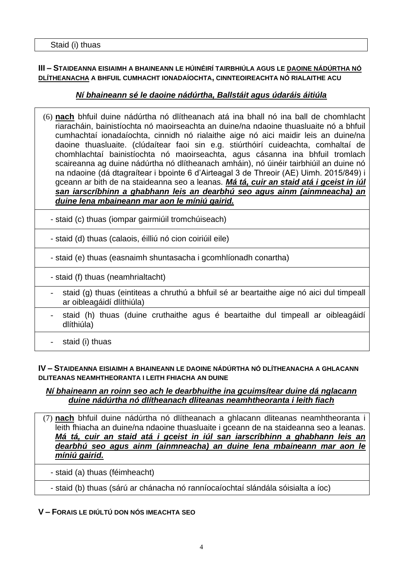### **III – STAIDEANNA EISIAIMH A BHAINEANN LE HÚINÉIRÍ TAIRBHIÚLA AGUS LE DAOINE NÁDÚRTHA NÓ DLÍTHEANACHA A BHFUIL CUMHACHT IONADAÍOCHTA, CINNTEOIREACHTA NÓ RIALAITHE ACU**

# *Ní bhaineann sé le daoine nádúrtha, Ballstáit agus údaráis áitiúla*

- (6) **nach** bhfuil duine nádúrtha nó dlítheanach atá ina bhall nó ina ball de chomhlacht riaracháin, bainistíochta nó maoirseachta an duine/na ndaoine thuasluaite nó a bhfuil cumhachtaí ionadaíochta, cinnidh nó rialaithe aige nó aici maidir leis an duine/na daoine thuasluaite. (clúdaítear faoi sin e.g. stiúrthóirí cuideachta, comhaltaí de chomhlachtaí bainistíochta nó maoirseachta, agus cásanna ina bhfuil tromlach scaireanna ag duine nádúrtha nó dlítheanach amháin), nó úinéir tairbhiúil an duine nó na ndaoine (dá dtagraítear i bpointe 6 d'Airteagal 3 de Threoir (AE) Uimh. 2015/849) i gceann ar bith de na staideanna seo a leanas. *Má tá, cuir an staid atá i gceist in iúl san iarscríbhinn a ghabhann leis an dearbhú seo agus ainm (ainmneacha) an duine lena mbaineann mar aon le míniú gairid.*
	- staid (c) thuas (iompar gairmiúil tromchúiseach)
	- staid (d) thuas (calaois, éilliú nó cion coiriúil eile)
	- staid (e) thuas (easnaimh shuntasacha i gcomhlíonadh conartha)
	- staid (f) thuas (neamhrialtacht)
	- staid (g) thuas (eintiteas a chruthú a bhfuil sé ar beartaithe aige nó aici dul timpeall ar oibleagáidí dlíthiúla)
	- staid (h) thuas (duine cruthaithe agus é beartaithe dul timpeall ar oibleagáidí dlíthiúla)
	- staid (i) thuas

#### **IV – STAIDEANNA EISIAIMH A BHAINEANN LE DAOINE NÁDÚRTHA NÓ DLÍTHEANACHA A GHLACANN DLITEANAS NEAMHTHEORANTA I LEITH FHIACHA AN DUINE**

#### *Ní bhaineann an roinn seo ach le dearbhuithe ina gcuimsítear duine dá nglacann duine nádúrtha nó dlítheanach dliteanas neamhtheoranta i leith fiach*

(7) **nach** bhfuil duine nádúrtha nó dlítheanach a ghlacann dliteanas neamhtheoranta i leith fhiacha an duine/na ndaoine thuasluaite i gceann de na staideanna seo a leanas. *Má tá, cuir an staid atá i gceist in iúl san iarscríbhinn a ghabhann leis an dearbhú seo agus ainm (ainmneacha) an duine lena mbaineann mar aon le míniú gairid.*

- staid (a) thuas (féimheacht)
- staid (b) thuas (sárú ar chánacha nó ranníocaíochtaí slándála sóisialta a íoc)

# **V – FORAIS LE DIÚLTÚ DON NÓS IMEACHTA SEO**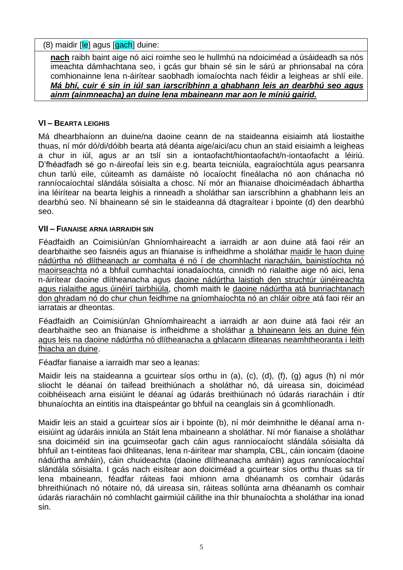## $(8)$  maidir [le] agus  $[**gach**]$  duine:

**nach** raibh baint aige nó aici roimhe seo le hullmhú na ndoiciméad a úsáideadh sa nós imeachta dámhachtana seo, i gcás gur bhain sé sin le sárú ar phrionsabal na córa comhionainne lena n-áirítear saobhadh iomaíochta nach féidir a leigheas ar shlí eile. *Má bhí, cuir é sin in iúl san iarscríbhinn a ghabhann leis an dearbhú seo agus ainm (ainmneacha) an duine lena mbaineann mar aon le míniú gairid.*

## **VI – BEARTA LEIGHIS**

Má dhearbhaíonn an duine/na daoine ceann de na staideanna eisiaimh atá liostaithe thuas, ní mór dó/di/dóibh bearta atá déanta aige/aici/acu chun an staid eisiaimh a leigheas a chur in iúl, agus ar an tslí sin a iontaofacht/hiontaofacht/n-iontaofacht a léiriú. D'fhéadfadh sé go n-áireofaí leis sin e.g. bearta teicniúla, eagraíochtúla agus pearsanra chun tarlú eile, cúiteamh as damáiste nó íocaíocht fíneálacha nó aon chánacha nó ranníocaíochtaí slándála sóisialta a chosc. Ní mór an fhianaise dhoiciméadach ábhartha ina léirítear na bearta leighis a rinneadh a sholáthar san iarscríbhinn a ghabhann leis an dearbhú seo. Ní bhaineann sé sin le staideanna dá dtagraítear i bpointe (d) den dearbhú seo.

## **VII – FIANAISE ARNA IARRAIDH SIN**

Féadfaidh an Coimisiún/an Ghníomhaireacht a iarraidh ar aon duine atá faoi réir an dearbhaithe seo faisnéis agus an fhianaise is infheidhme a sholáthar maidir le haon duine nádúrtha nó dlítheanach ar comhalta é nó í de chomhlacht riaracháin, bainistíochta nó maoirseachta nó a bhfuil cumhachtaí ionadaíochta, cinnidh nó rialaithe aige nó aici, lena n-áirítear daoine dlítheanacha agus daoine nádúrtha laistigh den struchtúr úinéireachta agus rialaithe agus úinéirí tairbhiúla, chomh maith le daoine nádúrtha atá bunriachtanach don ghradam nó do chur chun feidhme na gníomhaíochta nó an chláir oibre atá faoi réir an iarratais ar dheontas.

Féadfaidh an Coimisiún/an Ghníomhaireacht a iarraidh ar aon duine atá faoi réir an dearbhaithe seo an fhianaise is infheidhme a sholáthar a bhaineann leis an duine féin agus leis na daoine nádúrtha nó dlítheanacha a ghlacann dliteanas neamhtheoranta i leith fhiacha an duine.

Féadfar fianaise a iarraidh mar seo a leanas:

Maidir leis na staideanna a gcuirtear síos orthu in (a), (c), (d), (f), (g) agus (h) ní mór sliocht le déanaí ón taifead breithiúnach a sholáthar nó, dá uireasa sin, doiciméad coibhéiseach arna eisiúint le déanaí ag údarás breithiúnach nó údarás riaracháin i dtír bhunaíochta an eintitis ina dtaispeántar go bhfuil na ceanglais sin á gcomhlíonadh.

Maidir leis an staid a gcuirtear síos air i bpointe (b), ní mór deimhnithe le déanaí arna neisiúint ag údaráis inniúla an Stáit lena mbaineann a sholáthar. Ní mór fianaise a sholáthar sna doiciméid sin ina gcuimseofar gach cáin agus ranníocaíocht slándála sóisialta dá bhfuil an t-eintiteas faoi dhliteanas, lena n-áirítear mar shampla, CBL, cáin ioncaim (daoine nádúrtha amháin), cáin chuideachta (daoine dlítheanacha amháin) agus ranníocaíochtaí slándála sóisialta. I gcás nach eisítear aon doiciméad a gcuirtear síos orthu thuas sa tír lena mbaineann, féadfar ráiteas faoi mhionn arna dhéanamh os comhair údarás bhreithiúnach nó nótaire nó, dá uireasa sin, ráiteas sollúnta arna dhéanamh os comhair údarás riaracháin nó comhlacht gairmiúil cáilithe ina thír bhunaíochta a sholáthar ina ionad sin.